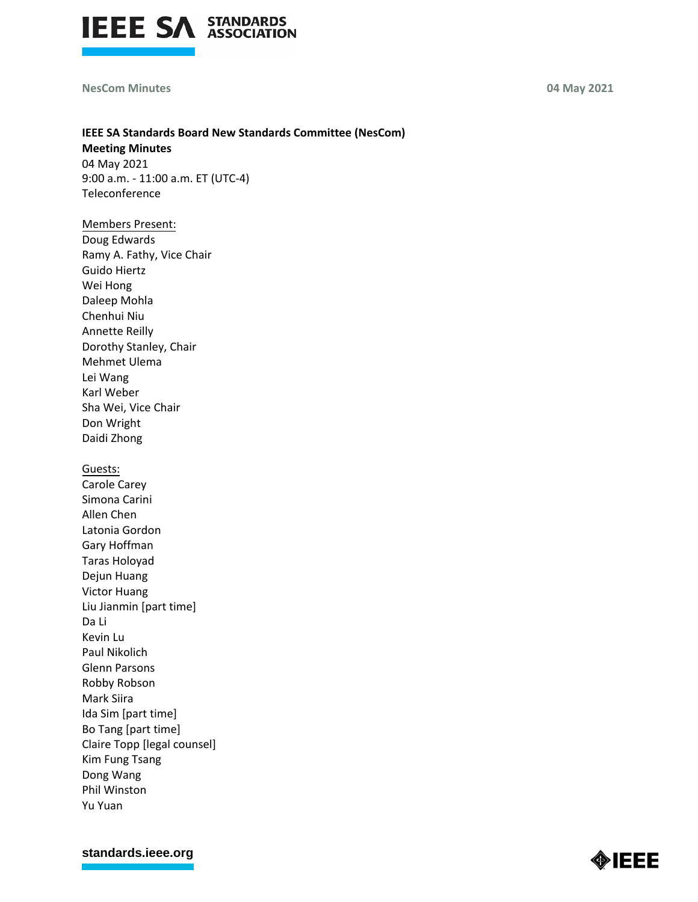

## **NesCom Minutes 04 May 2021**

# **IEEE SA Standards Board New Standards Committee (NesCom) Meeting Minutes**

04 May 2021 9:00 a.m. - 11:00 a.m. ET (UTC-4) Teleconference

# Members Present:

Doug Edwards Ramy A. Fathy, Vice Chair Guido Hiertz Wei Hong Daleep Mohla Chenhui Niu Annette Reilly Dorothy Stanley, Chair Mehmet Ulema Lei Wang Karl Weber Sha Wei, Vice Chair Don Wright Daidi Zhong

#### Guests:

Carole Carey Simona Carini Allen Chen Latonia Gordon Gary Hoffman Taras Holoyad Dejun Huang Victor Huang Liu Jianmin [part time] Da Li Kevin Lu Paul Nikolich Glenn Parsons Robby Robson Mark Siira Ida Sim [part time] Bo Tang [part time] Claire Topp [legal counsel] Kim Fung Tsang Dong Wang Phil Winston Yu Yuan

**[standards.ieee.org](http://standards.ieee.org/)**

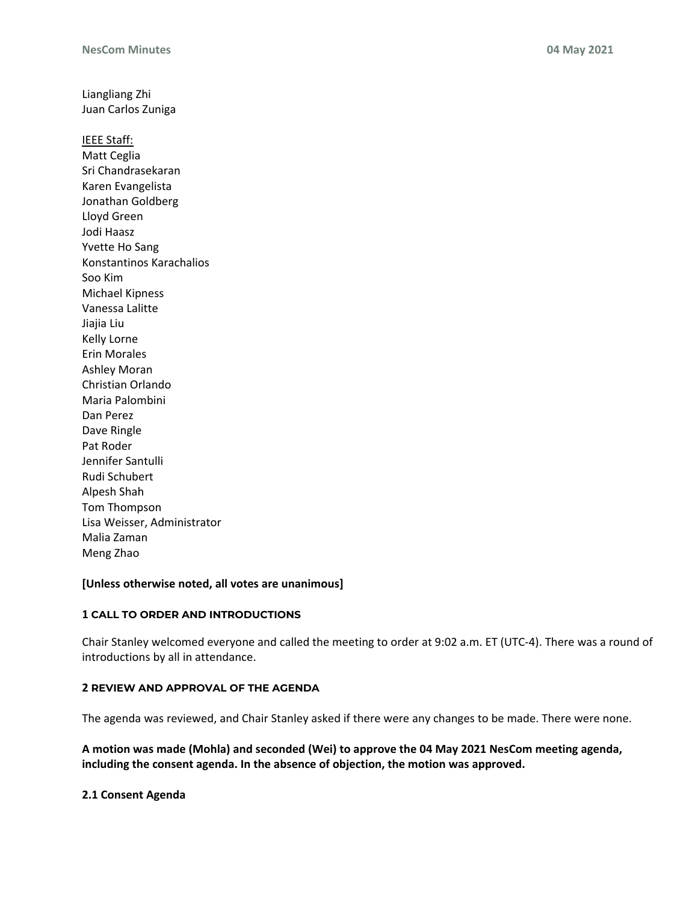Liangliang Zhi Juan Carlos Zuniga

IEEE Staff: Matt Ceglia Sri Chandrasekaran Karen Evangelista Jonathan Goldberg Lloyd Green Jodi Haasz Yvette Ho Sang Konstantinos Karachalios Soo Kim Michael Kipness Vanessa Lalitte Jiajia Liu Kelly Lorne Erin Morales Ashley Moran Christian Orlando Maria Palombini Dan Perez Dave Ringle Pat Roder Jennifer Santulli Rudi Schubert Alpesh Shah Tom Thompson Lisa Weisser, Administrator Malia Zaman Meng Zhao

#### **[Unless otherwise noted, all votes are unanimous]**

## **1 CALL TO ORDER AND INTRODUCTIONS**

Chair Stanley welcomed everyone and called the meeting to order at 9:02 a.m. ET (UTC-4). There was a round of introductions by all in attendance.

#### **2 REVIEW AND APPROVAL OF THE AGENDA**

The agenda was reviewed, and Chair Stanley asked if there were any changes to be made. There were none.

**A motion was made (Mohla) and seconded (Wei) to approve the 04 May 2021 NesCom meeting agenda, including the consent agenda. In the absence of objection, the motion was approved.**

**2.1 Consent Agenda**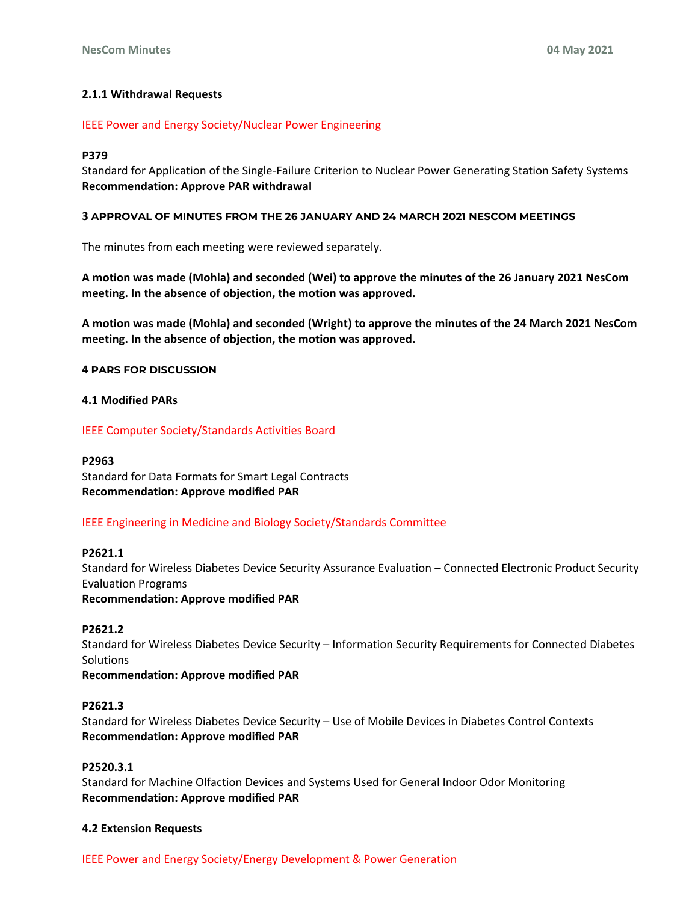## **2.1.1 Withdrawal Requests**

#### IEEE Power and Energy Society/Nuclear Power Engineering

#### **P379**

Standard for Application of the Single-Failure Criterion to Nuclear Power Generating Station Safety Systems **Recommendation: Approve PAR withdrawal**

#### **3 APPROVAL OF MINUTES FROM THE 26 JANUARY AND 24 MARCH 2021 NESCOM MEETINGS**

The minutes from each meeting were reviewed separately.

**A motion was made (Mohla) and seconded (Wei) to approve the minutes of the 26 January 2021 NesCom meeting. In the absence of objection, the motion was approved.**

**A motion was made (Mohla) and seconded (Wright) to approve the minutes of the 24 March 2021 NesCom meeting. In the absence of objection, the motion was approved.**

#### **4 PARS FOR DISCUSSION**

#### **4.1 Modified PARs**

IEEE Computer Society/Standards Activities Board

#### **P2963**

Standard for Data Formats for Smart Legal Contracts **Recommendation: Approve modified PAR**

#### IEEE Engineering in Medicine and Biology Society/Standards Committee

#### **P2621.1**

Standard for Wireless Diabetes Device Security Assurance Evaluation – Connected Electronic Product Security Evaluation Programs **Recommendation: Approve modified PAR**

#### **P2621.2**

Standard for Wireless Diabetes Device Security – Information Security Requirements for Connected Diabetes **Solutions Recommendation: Approve modified PAR**

#### **P2621.3**

Standard for Wireless Diabetes Device Security – Use of Mobile Devices in Diabetes Control Contexts **Recommendation: Approve modified PAR**

#### **P2520.3.1**

Standard for Machine Olfaction Devices and Systems Used for General Indoor Odor Monitoring **Recommendation: Approve modified PAR**

#### **4.2 Extension Requests**

IEEE Power and Energy Society/Energy Development & Power Generation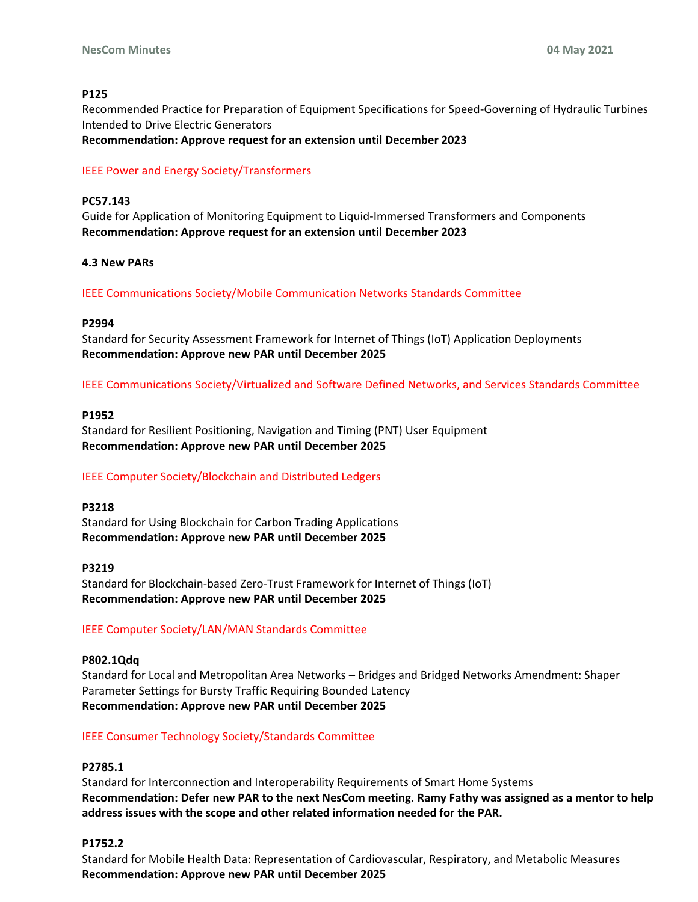# **P125**

Recommended Practice for Preparation of Equipment Specifications for Speed-Governing of Hydraulic Turbines Intended to Drive Electric Generators

**Recommendation: Approve request for an extension until December 2023**

## IEEE Power and Energy Society/Transformers

## **PC57.143**

Guide for Application of Monitoring Equipment to Liquid-Immersed Transformers and Components **Recommendation: Approve request for an extension until December 2023**

## **4.3 New PARs**

IEEE Communications Society/Mobile Communication Networks Standards Committee

#### **P2994**

Standard for Security Assessment Framework for Internet of Things (IoT) Application Deployments **Recommendation: Approve new PAR until December 2025**

IEEE Communications Society/Virtualized and Software Defined Networks, and Services Standards Committee

#### **P1952**

Standard for Resilient Positioning, Navigation and Timing (PNT) User Equipment **Recommendation: Approve new PAR until December 2025**

# IEEE Computer Society/Blockchain and Distributed Ledgers

#### **P3218**

Standard for Using Blockchain for Carbon Trading Applications **Recommendation: Approve new PAR until December 2025**

#### **P3219**

Standard for Blockchain-based Zero-Trust Framework for Internet of Things (IoT) **Recommendation: Approve new PAR until December 2025**

#### IEEE Computer Society/LAN/MAN Standards Committee

#### **P802.1Qdq**

Standard for Local and Metropolitan Area Networks – Bridges and Bridged Networks Amendment: Shaper Parameter Settings for Bursty Traffic Requiring Bounded Latency **Recommendation: Approve new PAR until December 2025**

#### IEEE Consumer Technology Society/Standards Committee

#### **P2785.1**

Standard for Interconnection and Interoperability Requirements of Smart Home Systems **Recommendation: Defer new PAR to the next NesCom meeting. Ramy Fathy was assigned as a mentor to help address issues with the scope and other related information needed for the PAR.**

#### **P1752.2**

Standard for Mobile Health Data: Representation of Cardiovascular, Respiratory, and Metabolic Measures **Recommendation: Approve new PAR until December 2025**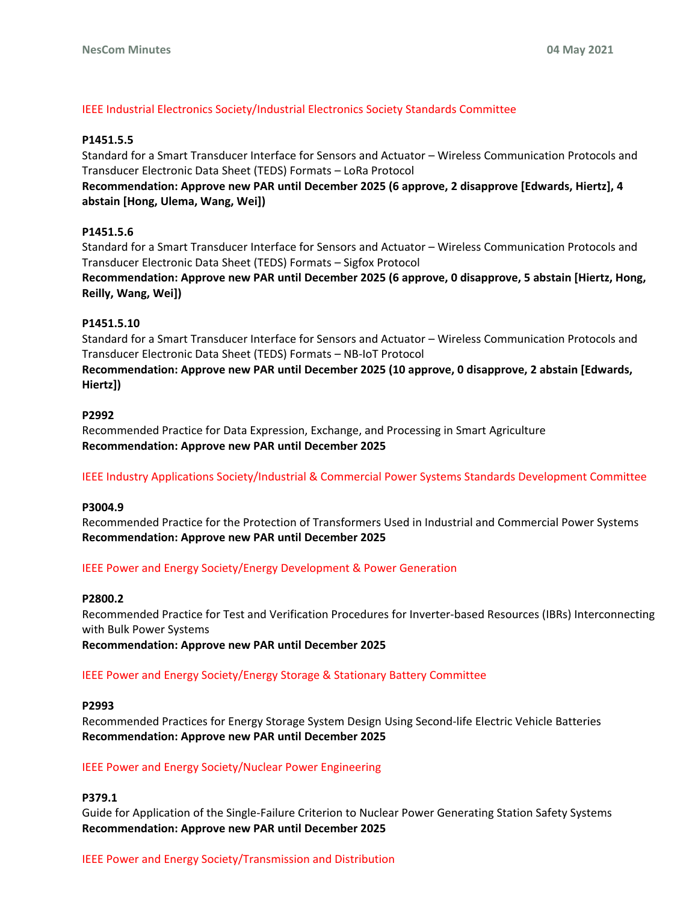# IEEE Industrial Electronics Society/Industrial Electronics Society Standards Committee

## **P1451.5.5**

Standard for a Smart Transducer Interface for Sensors and Actuator – Wireless Communication Protocols and Transducer Electronic Data Sheet (TEDS) Formats – LoRa Protocol

**Recommendation: Approve new PAR until December 2025 (6 approve, 2 disapprove [Edwards, Hiertz], 4 abstain [Hong, Ulema, Wang, Wei])**

## **P1451.5.6**

Standard for a Smart Transducer Interface for Sensors and Actuator – Wireless Communication Protocols and Transducer Electronic Data Sheet (TEDS) Formats – Sigfox Protocol

**Recommendation: Approve new PAR until December 2025 (6 approve, 0 disapprove, 5 abstain [Hiertz, Hong, Reilly, Wang, Wei])**

## **P1451.5.10**

Standard for a Smart Transducer Interface for Sensors and Actuator – Wireless Communication Protocols and Transducer Electronic Data Sheet (TEDS) Formats – NB-IoT Protocol

**Recommendation: Approve new PAR until December 2025 (10 approve, 0 disapprove, 2 abstain [Edwards, Hiertz])**

## **P2992**

Recommended Practice for Data Expression, Exchange, and Processing in Smart Agriculture **Recommendation: Approve new PAR until December 2025**

IEEE Industry Applications Society/Industrial & Commercial Power Systems Standards Development Committee

#### **P3004.9**

Recommended Practice for the Protection of Transformers Used in Industrial and Commercial Power Systems **Recommendation: Approve new PAR until December 2025**

#### IEEE Power and Energy Society/Energy Development & Power Generation

#### **P2800.2**

Recommended Practice for Test and Verification Procedures for Inverter-based Resources (IBRs) Interconnecting with Bulk Power Systems

**Recommendation: Approve new PAR until December 2025**

#### IEEE Power and Energy Society/Energy Storage & Stationary Battery Committee

#### **P2993**

Recommended Practices for Energy Storage System Design Using Second-life Electric Vehicle Batteries **Recommendation: Approve new PAR until December 2025**

#### IEEE Power and Energy Society/Nuclear Power Engineering

# **P379.1**

Guide for Application of the Single-Failure Criterion to Nuclear Power Generating Station Safety Systems **Recommendation: Approve new PAR until December 2025**

# IEEE Power and Energy Society/Transmission and Distribution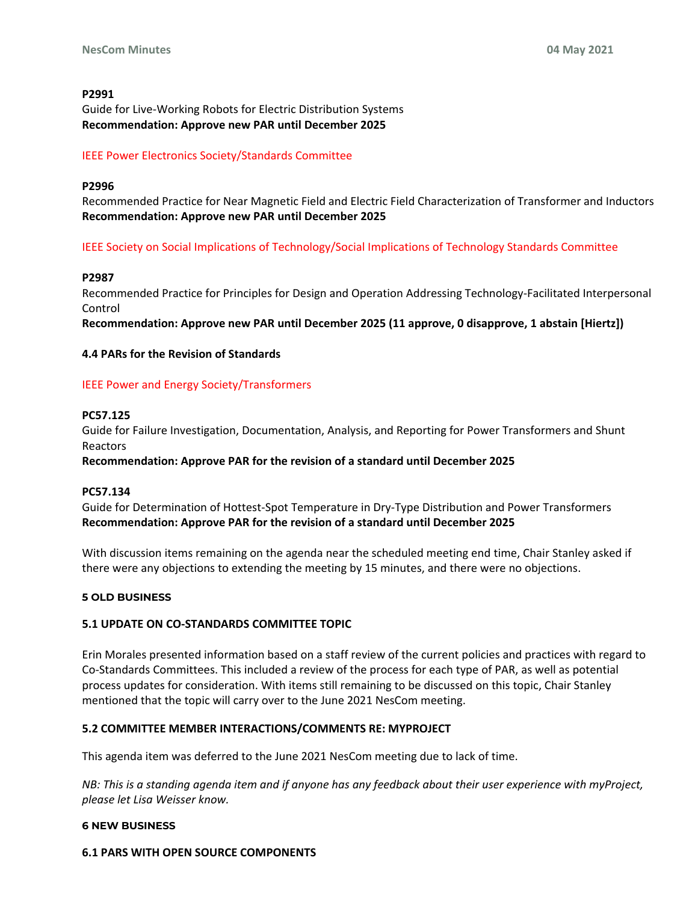#### **P2991**

Guide for Live-Working Robots for Electric Distribution Systems **Recommendation: Approve new PAR until December 2025**

## IEEE Power Electronics Society/Standards Committee

#### **P2996**

Recommended Practice for Near Magnetic Field and Electric Field Characterization of Transformer and Inductors **Recommendation: Approve new PAR until December 2025** 

IEEE Society on Social Implications of Technology/Social Implications of Technology Standards Committee

#### **P2987**

Recommended Practice for Principles for Design and Operation Addressing Technology-Facilitated Interpersonal Control

**Recommendation: Approve new PAR until December 2025 (11 approve, 0 disapprove, 1 abstain [Hiertz])** 

## **4.4 PARs for the Revision of Standards**

## IEEE Power and Energy Society/Transformers

## **PC57.125**

Guide for Failure Investigation, Documentation, Analysis, and Reporting for Power Transformers and Shunt Reactors

**Recommendation: Approve PAR for the revision of a standard until December 2025** 

#### **PC57.134**

Guide for Determination of Hottest-Spot Temperature in Dry-Type Distribution and Power Transformers **Recommendation: Approve PAR for the revision of a standard until December 2025**

With discussion items remaining on the agenda near the scheduled meeting end time, Chair Stanley asked if there were any objections to extending the meeting by 15 minutes, and there were no objections.

#### **5 OLD BUSINESS**

#### **5.1 UPDATE ON CO-STANDARDS COMMITTEE TOPIC**

Erin Morales presented information based on a staff review of the current policies and practices with regard to Co-Standards Committees. This included a review of the process for each type of PAR, as well as potential process updates for consideration. With items still remaining to be discussed on this topic, Chair Stanley mentioned that the topic will carry over to the June 2021 NesCom meeting.

#### **5.2 COMMITTEE MEMBER INTERACTIONS/COMMENTS RE: MYPROJECT**

This agenda item was deferred to the June 2021 NesCom meeting due to lack of time.

*NB: This is a standing agenda item and if anyone has any feedback about their user experience with myProject, please let Lisa Weisser know.* 

### **6 NEW BUSINESS**

**6.1 PARS WITH OPEN SOURCE COMPONENTS**